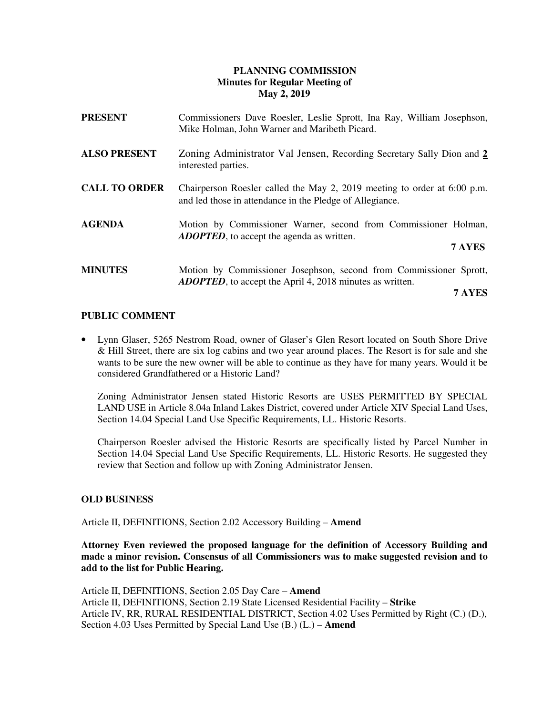# **PLANNING COMMISSION Minutes for Regular Meeting of May 2, 2019**

| <b>PRESENT</b>       | Commissioners Dave Roesler, Leslie Sprott, Ina Ray, William Josephson,<br>Mike Holman, John Warner and Maribeth Picard.                |
|----------------------|----------------------------------------------------------------------------------------------------------------------------------------|
| <b>ALSO PRESENT</b>  | Zoning Administrator Val Jensen, Recording Secretary Sally Dion and 2<br>interested parties.                                           |
| <b>CALL TO ORDER</b> | Chairperson Roesler called the May 2, 2019 meeting to order at 6:00 p.m.<br>and led those in attendance in the Pledge of Allegiance.   |
| <b>AGENDA</b>        | Motion by Commissioner Warner, second from Commissioner Holman,<br><b>ADOPTED</b> , to accept the agenda as written.<br>7 AYES         |
| <b>MINUTES</b>       | Motion by Commissioner Josephson, second from Commissioner Sprott,<br><b>ADOPTED</b> , to accept the April 4, 2018 minutes as written. |

 **7 AYES** 

# **PUBLIC COMMENT**

• Lynn Glaser, 5265 Nestrom Road, owner of Glaser's Glen Resort located on South Shore Drive & Hill Street, there are six log cabins and two year around places. The Resort is for sale and she wants to be sure the new owner will be able to continue as they have for many years. Would it be considered Grandfathered or a Historic Land?

Zoning Administrator Jensen stated Historic Resorts are USES PERMITTED BY SPECIAL LAND USE in Article 8.04a Inland Lakes District, covered under Article XIV Special Land Uses, Section 14.04 Special Land Use Specific Requirements, LL. Historic Resorts.

Chairperson Roesler advised the Historic Resorts are specifically listed by Parcel Number in Section 14.04 Special Land Use Specific Requirements, LL. Historic Resorts. He suggested they review that Section and follow up with Zoning Administrator Jensen.

# **OLD BUSINESS**

Article II, DEFINITIONS, Section 2.02 Accessory Building – **Amend** 

 **Attorney Even reviewed the proposed language for the definition of Accessory Building and made a minor revision. Consensus of all Commissioners was to make suggested revision and to add to the list for Public Hearing.** 

Article II, DEFINITIONS, Section 2.05 Day Care – **Amend**  Article II, DEFINITIONS, Section 2.19 State Licensed Residential Facility – **Strike** Article IV, RR, RURAL RESIDENTIAL DISTRICT, Section 4.02 Uses Permitted by Right (C.) (D.), Section 4.03 Uses Permitted by Special Land Use (B.) (L.) – **Amend**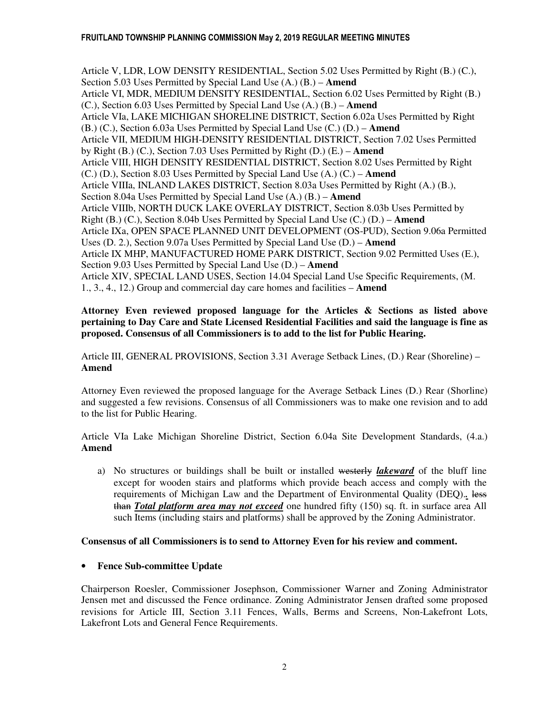Article V, LDR, LOW DENSITY RESIDENTIAL, Section 5.02 Uses Permitted by Right (B.) (C.), Section 5.03 Uses Permitted by Special Land Use (A.) (B.) – **Amend** Article VI, MDR, MEDIUM DENSITY RESIDENTIAL, Section 6.02 Uses Permitted by Right (B.) (C.), Section 6.03 Uses Permitted by Special Land Use (A.) (B.) – **Amend** Article VIa, LAKE MICHIGAN SHORELINE DISTRICT, Section 6.02a Uses Permitted by Right (B.) (C.), Section 6.03a Uses Permitted by Special Land Use (C.) (D.) – **Amend** Article VII, MEDIUM HIGH-DENSITY RESIDENTIAL DISTRICT, Section 7.02 Uses Permitted by Right (B.) (C.), Section 7.03 Uses Permitted by Right (D.) (E.) – **Amend** Article VIII, HIGH DENSITY RESIDENTIAL DISTRICT, Section 8.02 Uses Permitted by Right (C.) (D.), Section 8.03 Uses Permitted by Special Land Use (A.) (C.) – **Amend** Article VIIIa, INLAND LAKES DISTRICT, Section 8.03a Uses Permitted by Right (A.) (B.), Section 8.04a Uses Permitted by Special Land Use (A.) (B.) – **Amend** Article VIIIb, NORTH DUCK LAKE OVERLAY DISTRICT, Section 8.03b Uses Permitted by Right (B.) (C.), Section 8.04b Uses Permitted by Special Land Use (C.) (D.) – **Amend** Article IXa, OPEN SPACE PLANNED UNIT DEVELOPMENT (OS-PUD), Section 9.06a Permitted Uses (D. 2.), Section 9.07a Uses Permitted by Special Land Use (D.) – **Amend** Article IX MHP, MANUFACTURED HOME PARK DISTRICT, Section 9.02 Permitted Uses (E.), Section 9.03 Uses Permitted by Special Land Use (D.) – **Amend** Article XIV, SPECIAL LAND USES, Section 14.04 Special Land Use Specific Requirements, (M. 1., 3., 4., 12.) Group and commercial day care homes and facilities – **Amend** 

### **Attorney Even reviewed proposed language for the Articles & Sections as listed above pertaining to Day Care and State Licensed Residential Facilities and said the language is fine as proposed. Consensus of all Commissioners is to add to the list for Public Hearing.**

Article III, GENERAL PROVISIONS, Section 3.31 Average Setback Lines, (D.) Rear (Shoreline) – **Amend** 

Attorney Even reviewed the proposed language for the Average Setback Lines (D.) Rear (Shorline) and suggested a few revisions. Consensus of all Commissioners was to make one revision and to add to the list for Public Hearing.

Article VIa Lake Michigan Shoreline District, Section 6.04a Site Development Standards, (4.a.) **Amend** 

a) No structures or buildings shall be built or installed westerly *lakeward* of the bluff line except for wooden stairs and platforms which provide beach access and comply with the requirements of Michigan Law and the Department of Environmental Quality (DEQ).*.* less than *Total platform area may not exceed* one hundred fifty (150) sq. ft. in surface area All such Items (including stairs and platforms) shall be approved by the Zoning Administrator.

# **Consensus of all Commissioners is to send to Attorney Even for his review and comment.**

# • **Fence Sub-committee Update**

 Chairperson Roesler, Commissioner Josephson, Commissioner Warner and Zoning Administrator Jensen met and discussed the Fence ordinance. Zoning Administrator Jensen drafted some proposed revisions for Article III, Section 3.11 Fences, Walls, Berms and Screens, Non-Lakefront Lots, Lakefront Lots and General Fence Requirements.